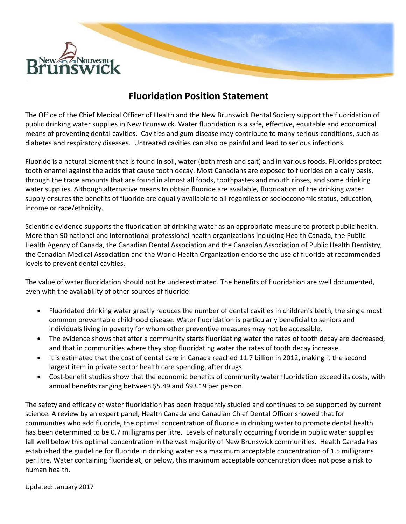

# **Fluoridation Position Statement**

The Office of the Chief Medical Officer of Health and the New Brunswick Dental Society support the fluoridation of public drinking water supplies in New Brunswick. Water fluoridation is a safe, effective, equitable and economical means of preventing dental cavities. Cavities and gum disease may contribute to many serious conditions, such as diabetes and respiratory diseases. Untreated cavities can also be painful and lead to serious infections.

Fluoride is a natural element that is found in soil, water (both fresh and salt) and in various foods. Fluorides protect tooth enamel against the acids that cause tooth decay. Most Canadians are exposed to fluorides on a daily basis, through the trace amounts that are found in almost all foods, toothpastes and mouth rinses, and some drinking water supplies. Although alternative means to obtain fluoride are available, fluoridation of the drinking water supply ensures the benefits of fluoride are equally available to all regardless of socioeconomic status, education, income or race/ethnicity.

Scientific evidence supports the fluoridation of drinking water as an appropriate measure to protect public health. More than 90 national and international professional health organizations including Health Canada, the Public Health Agency of Canada, the Canadian Dental Association and the Canadian Association of Public Health Dentistry, the Canadian Medical Association and the World Health Organization endorse the use of fluoride at recommended levels to prevent dental cavities.

The value of water fluoridation should not be underestimated. The benefits of fluoridation are well documented, even with the availability of other sources of fluoride:

- Fluoridated drinking water greatly reduces the number of dental cavities in children's teeth, the single most common preventable childhood disease. Water fluoridation is particularly beneficial to seniors and individuals living in poverty for whom other preventive measures may not be accessible.
- The evidence shows that after a community starts fluoridating water the rates of tooth decay are decreased, and that in communities where they stop fluoridating water the rates of tooth decay increase.
- It is estimated that the cost of dental care in Canada reached 11.7 billion in 2012, making it the second largest item in private sector health care spending, after drugs.
- Cost-benefit studies show that the economic benefits of community water fluoridation exceed its costs, with annual benefits ranging between \$5.49 and \$93.19 per person.

The safety and efficacy of water fluoridation has been frequently studied and continues to be supported by current science. A review by an expert panel, Health Canada and Canadian Chief Dental Officer showed that for communities who add fluoride, the optimal concentration of fluoride in drinking water to promote dental health has been determined to be 0.7 milligrams per litre. Levels of naturally occurring fluoride in public water supplies fall well below this optimal concentration in the vast majority of New Brunswick communities. Health Canada has established the guideline for fluoride in drinking water as a maximum acceptable concentration of 1.5 milligrams per litre. Water containing fluoride at, or below, this maximum acceptable concentration does not pose a risk to human health.

Updated: January 2017